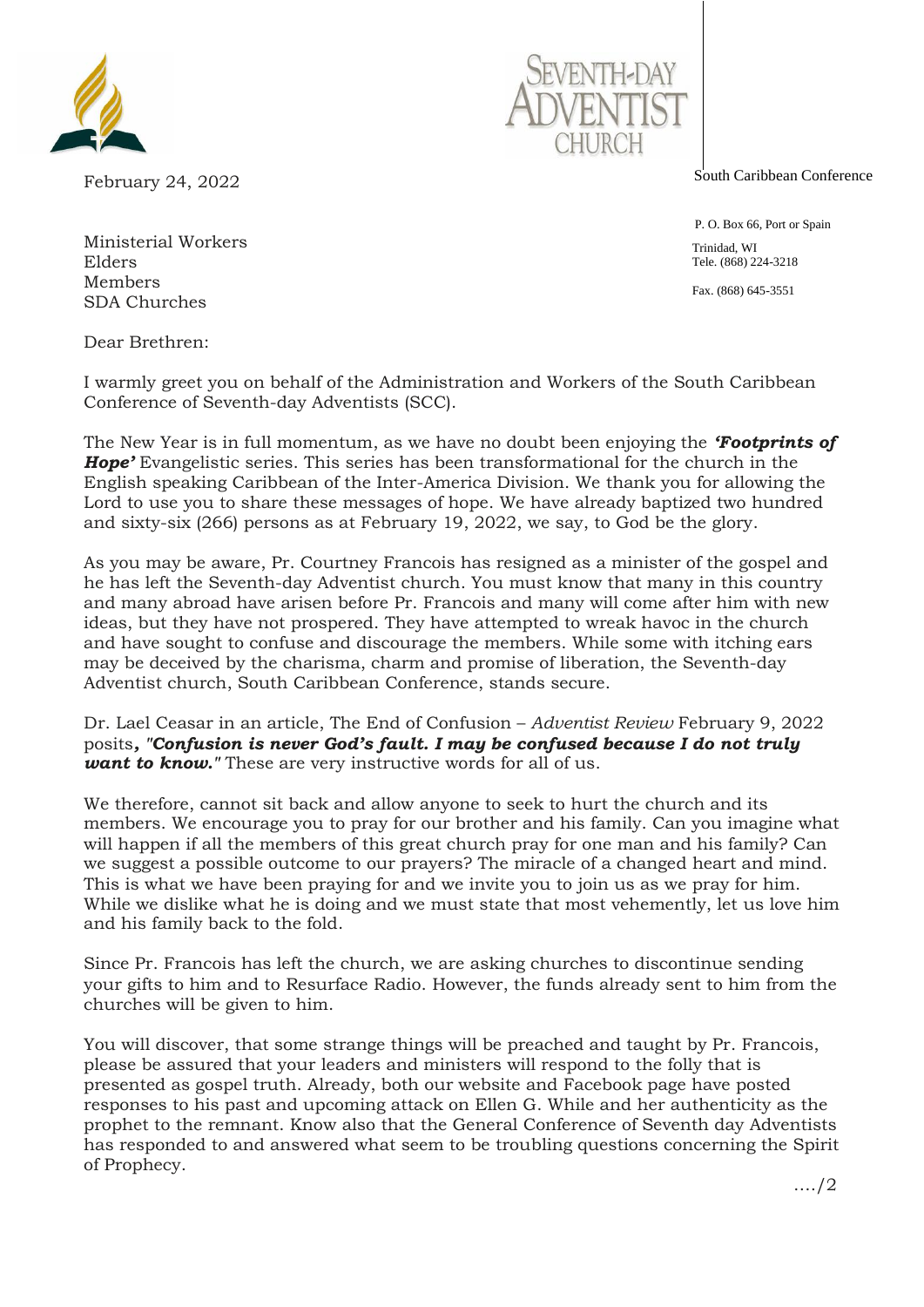

February 24, 2022

South Caribbean Conference

 P. O. Box 66, Port or Spain Trinidad, WI Tele. (868) 224-3218 Fax. (868) 645-3551

Ministerial Workers Elders Members SDA Churches

Dear Brethren:

I warmly greet you on behalf of the Administration and Workers of the South Caribbean Conference of Seventh-day Adventists (SCC).

The New Year is in full momentum, as we have no doubt been enjoying the *'Footprints of Hope'* Evangelistic series. This series has been transformational for the church in the English speaking Caribbean of the Inter-America Division. We thank you for allowing the Lord to use you to share these messages of hope. We have already baptized two hundred and sixty-six (266) persons as at February 19, 2022, we say, to God be the glory.

As you may be aware, Pr. Courtney Francois has resigned as a minister of the gospel and he has left the Seventh-day Adventist church. You must know that many in this country and many abroad have arisen before Pr. Francois and many will come after him with new ideas, but they have not prospered. They have attempted to wreak havoc in the church and have sought to confuse and discourage the members. While some with itching ears may be deceived by the charisma, charm and promise of liberation, the Seventh-day Adventist church, South Caribbean Conference, stands secure.

Dr. Lael Ceasar in an article, The End of Confusion – *Adventist Review* February 9, 2022 posits*, "Confusion is never God's fault. I may be confused because I do not truly want to know.* These are very instructive words for all of us.

We therefore, cannot sit back and allow anyone to seek to hurt the church and its members. We encourage you to pray for our brother and his family. Can you imagine what will happen if all the members of this great church pray for one man and his family? Can we suggest a possible outcome to our prayers? The miracle of a changed heart and mind. This is what we have been praying for and we invite you to join us as we pray for him. While we dislike what he is doing and we must state that most vehemently, let us love him and his family back to the fold.

Since Pr. Francois has left the church, we are asking churches to discontinue sending your gifts to him and to Resurface Radio. However, the funds already sent to him from the churches will be given to him.

You will discover, that some strange things will be preached and taught by Pr. Francois, please be assured that your leaders and ministers will respond to the folly that is presented as gospel truth. Already, both our website and Facebook page have posted responses to his past and upcoming attack on Ellen G. While and her authenticity as the prophet to the remnant. Know also that the General Conference of Seventh day Adventists has responded to and answered what seem to be troubling questions concerning the Spirit of Prophecy.